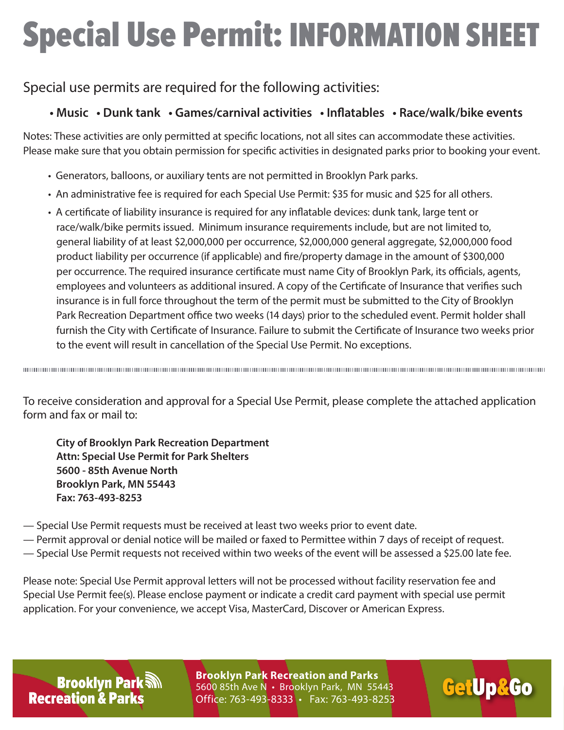# Special Use Permit: INFORMATION SHEET

### Special use permits are required for the following activities:

#### **• Music • Dunk tank • Games/carnival activities • Inflatables • Race/walk/bike events**

Notes: These activities are only permitted at specific locations, not all sites can accommodate these activities. Please make sure that you obtain permission for specific activities in designated parks prior to booking your event.

- Generators, balloons, or auxiliary tents are not permitted in Brooklyn Park parks.
- An administrative fee is required for each Special Use Permit: \$35 for music and \$25 for all others.
- A certificate of liability insurance is required for any inflatable devices: dunk tank, large tent or race/walk/bike permits issued. Minimum insurance requirements include, but are not limited to, general liability of at least \$2,000,000 per occurrence, \$2,000,000 general aggregate, \$2,000,000 food product liability per occurrence (if applicable) and fire/property damage in the amount of \$300,000 per occurrence. The required insurance certificate must name City of Brooklyn Park, its officials, agents, employees and volunteers as additional insured. A copy of the Certificate of Insurance that verifies such insurance is in full force throughout the term of the permit must be submitted to the City of Brooklyn Park Recreation Department office two weeks (14 days) prior to the scheduled event. Permit holder shall furnish the City with Certificate of Insurance. Failure to submit the Certificate of Insurance two weeks prior to the event will result in cancellation of the Special Use Permit. No exceptions.

To receive consideration and approval for a Special Use Permit, please complete the attached application form and fax or mail to:

**City of Brooklyn Park Recreation Department Attn: Special Use Permit for Park Shelters 5600 - 85th Avenue North Brooklyn Park, MN 55443 Fax: 763-493-8253**

- Special Use Permit requests must be received at least two weeks prior to event date.
- Permit approval or denial notice will be mailed or faxed to Permittee within 7 days of receipt of request.
- Special Use Permit requests not received within two weeks of the event will be assessed a \$25.00 late fee.

Please note: Special Use Permit approval letters will not be processed without facility reservation fee and Special Use Permit fee(s). Please enclose payment or indicate a credit card payment with special use permit application. For your convenience, we accept Visa, MasterCard, Discover or American Express.

**Brooklyn Park M Recreation & Parks** 

**Brooklyn Park Recreation and Parks<br>5600 85th Ave N · Brooklyn Park, MN 55443 6600 85th Ave N · Brooklyn Park, MN 55443** 5600 85th Ave N • Brooklyn Park, MN 55443 Office: 763-493-8333 • Fax: 763-493-8253